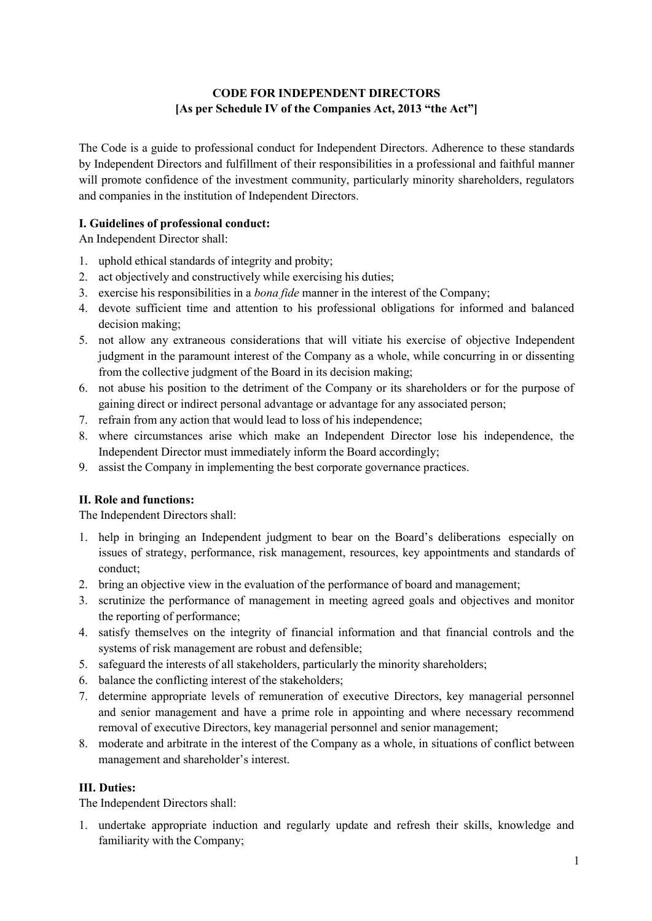# **CODE FOR INDEPENDENT DIRECTORS [As per Schedule IV of the Companies Act, 2013 "the Act"]**

The Code is a guide to professional conduct for Independent Directors. Adherence to these standards by Independent Directors and fulfillment of their responsibilities in a professional and faithful manner will promote confidence of the investment community, particularly minority shareholders, regulators and companies in the institution of Independent Directors.

## $I.$  **Guidelines** of professional conduct:

An Independent Director shall:

- 1. uphold ethical standards ofintegrity and probity;
- 2. act objectively and constructively while exercising his duties;
- 3. exercise his responsibilities in a *bona fide* manner in the interestof the Company;
- 4. devote sufficient time and attention to his professional obligations for informed and balanced decision making;
- 5. not allow any extraneous considerations that will vitiate his exercise of objective Independent judgment in the paramount interest of the Company as a whole, while concurring in or dissenting from the collective judgment of the Board in its decision making;
- 6. not abuse his position to the detriment of the Company or its shareholders or for the purpose of gaining direct or indirect personal advantage or advantage for any associated person;
- 7. refrain from any action that would lead to loss of his independence;
- 8. where circumstances arise which make an Independent Director lose his independence, the Independent Director must immediately inform the Board accordingly;
- 9. assist the Company in implementing the best corporate governance practices.

## **II. Role and functions:**

The Independent Directors shall:

- 1. help in bringing an Independent judgment to bear on the Board's deliberations especially on issues of strategy, performance, risk management, resources, key appointments and standards of conduct;
- 2. bring an objective view in the evaluation of the performance of board and management;
- 3. scrutinize the performance of management in meeting agreed goals and objectives and monitor the reporting of performance;
- 4. satisfy themselves on the integrity of financial information and that financial controls and the systems of risk management are robust and defensible;
- 5. safeguard the interests of all stakeholders, particularly the minority shareholders;
- 6. balance the conflicting interest of the stakeholders;
- 7. determine appropriate levels of remuneration of executive Directors, key managerial personnel and senior management and have a prime role in appointing and where necessary recommend removal of executive Directors, key managerial personnel and senior management;
- 8. moderate and arbitrate in the interest of the Company as a whole, in situations of conflict between management and shareholder's interest.

## **III. Duties:**

The Independent Directors shall:

1. undertake appropriate induction and regularly update and refresh their skills, knowledge and familiarity with the Company;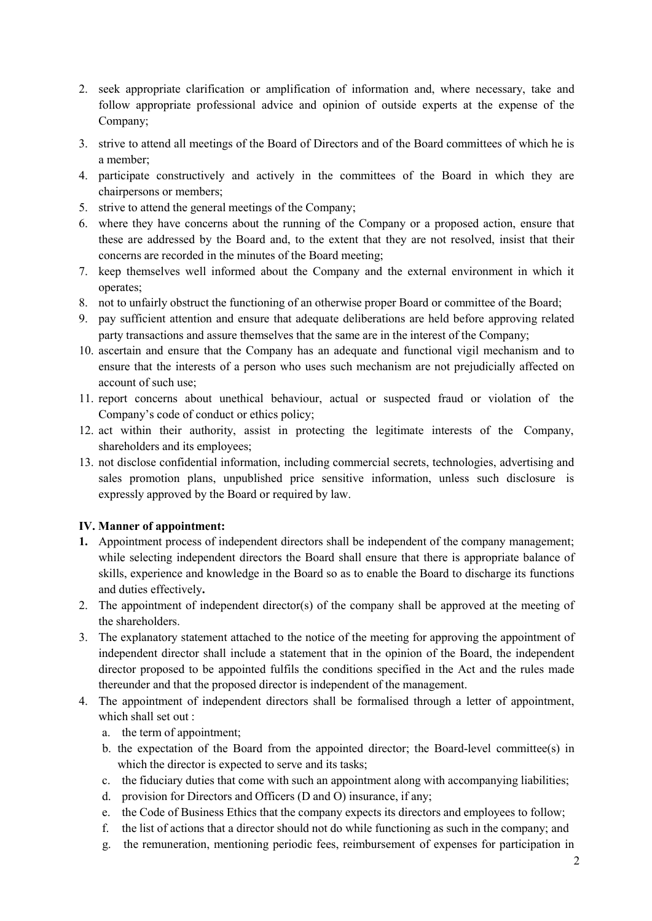- 2. seek appropriate clarification or amplification of information and, where necessary, take and follow appropriate professional advice and opinion of outside experts at the expense of the Company;
- 3. strive to attend all meetings of the Board of Directors and of the Board committees of which he is a member;
- 4. participate constructively and actively in the committees of the Board in which they are chairpersons or members;
- 5. strive to attend the general meetings of the Company;
- 6. where they have concerns about the running of the Company or a proposed action, ensure that these are addressed by the Board and, to the extent that they are not resolved, insist that their concerns are recorded in the minutes of the Board meeting;
- 7. keep themselves wellinformed about the Company and the external environment in which it operates;
- 8. not to unfairly obstruct the functioning of an otherwise proper Board or committee of the Board;
- 9. pay sufficient attention and ensure that adequate deliberations are held before approving related party transactions and assure themselves that the same are in the interestof the Company;
- 10. ascertain and ensure that the Company has an adequate and functional vigil mechanism and to ensure that the interests of a person who uses such mechanism are not prejudicially affected on account of such use;
- 11. report concerns about unethical behaviour, actual or suspected fraud or violation of the Company's code of conduct or ethics policy;
- 12. act within their authority, assist in protecting the legitimate interests of the Company, shareholders and its employees;
- 13. not disclose confidential information, including commercial secrets, technologies, advertising and sales promotion plans, unpublished price sensitive information, unless such disclosure is expressly approved by the Board or required by law.

## **IV. Manner of appointment:**

- **1.** Appointment process of independent directors shall be independent of the company management; while selecting independent directors the Board shall ensure that there is appropriate balance of skills, experience and knowledge in the Board so as to enable the Board to discharge its functions and duties effectively**.**
- 2. The appointment of independent director(s) of the company shall be approved at the meeting of the shareholders.
- 3. The explanatory statement attached to the notice of the meeting for approving the appointment of independent director shall include a statement that in the opinion of the Board, the independent director proposed to be appointed fulfils the conditions specified in the Act and the rules made thereunder and that the proposed director is independent of the management.
- 4. The appointment of independent directors shall be formalised through a letter of appointment, which shall set out :
	- a. the term of appointment;
	- b. the expectation of the Board from the appointed director; the Board-level committee(s) in which the director is expected to serve and its tasks;
	- c. the fiduciary duties that come with such an appointment along with accompanying liabilities;
	- d. provision for Directors and Officers (D and O) insurance, if any;
	- e. the Code of Business Ethics that the company expects its directors and employees to follow;
	- f. the list of actions that a director should not do while functioning as such in the company; and
	- g. the remuneration, mentioning periodic fees, reimbursement of expenses for participation in